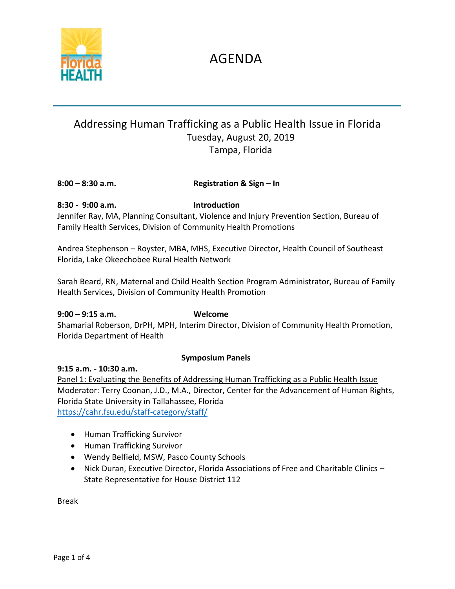

# AGENDA

# Addressing Human Trafficking as a Public Health Issue in Florida Tuesday, August 20, 2019 Tampa, Florida

**8:00 – 8:30 a.m. Registration & Sign – In**

# **8:30 - 9:00 a.m. Introduction**

Jennifer Ray, MA, Planning Consultant, Violence and Injury Prevention Section, Bureau of Family Health Services, Division of Community Health Promotions

Andrea Stephenson – Royster, MBA, MHS, Executive Director, Health Council of Southeast Florida, Lake Okeechobee Rural Health Network

Sarah Beard, RN, Maternal and Child Health Section Program Administrator, Bureau of Family Health Services, Division of Community Health Promotion

## **9:00 – 9:15 a.m. Welcome**

Shamarial Roberson, DrPH, MPH, Interim Director, Division of Community Health Promotion, Florida Department of Health

**Symposium Panels**

**9:15 a.m. - 10:30 a.m.** 

Panel 1: Evaluating the Benefits of Addressing Human Trafficking as a Public Health Issue Moderator: Terry Coonan, J.D., M.A., Director, Center for the Advancement of Human Rights, Florida State University in Tallahassee, Florida <https://cahr.fsu.edu/staff-category/staff/>

- Human Trafficking Survivor
- Human Trafficking Survivor
- Wendy Belfield, MSW, Pasco County Schools
- Nick Duran, Executive Director, Florida Associations of Free and Charitable Clinics State Representative for House District 112

Break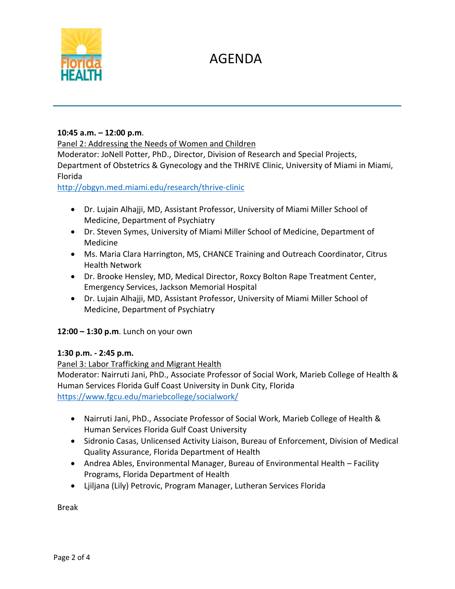



#### **10:45 a.m. – 12:00 p.m**.

Panel 2: Addressing the Needs of Women and Children Moderator: JoNell Potter, PhD., Director, Division of Research and Special Projects, Department of Obstetrics & Gynecology and the THRIVE Clinic, University of Miami in Miami, Florida

<http://obgyn.med.miami.edu/research/thrive-clinic>

- Dr. Lujain Alhajji, MD, Assistant Professor, University of Miami Miller School of Medicine, Department of Psychiatry
- Dr. Steven Symes, University of Miami Miller School of Medicine, Department of Medicine
- Ms. Maria Clara Harrington, MS, CHANCE Training and Outreach Coordinator, Citrus Health Network
- Dr. Brooke Hensley, MD, Medical Director, Roxcy Bolton Rape Treatment Center, Emergency Services, Jackson Memorial Hospital
- Dr. Lujain Alhajji, MD, Assistant Professor, University of Miami Miller School of Medicine, Department of Psychiatry

# **12:00 – 1:30 p.m**. Lunch on your own

# **1:30 p.m. - 2:45 p.m.**

Panel 3: Labor Trafficking and Migrant Health

Moderator: Nairruti Jani, PhD., Associate Professor of Social Work, Marieb College of Health & Human Services Florida Gulf Coast University in Dunk City, Florida <https://www.fgcu.edu/mariebcollege/socialwork/>

- Nairruti Jani, PhD., Associate Professor of Social Work, Marieb College of Health & Human Services Florida Gulf Coast University
- Sidronio Casas, Unlicensed Activity Liaison, Bureau of Enforcement, Division of Medical Quality Assurance, Florida Department of Health
- Andrea Ables, Environmental Manager, Bureau of Environmental Health Facility Programs, Florida Department of Health
- Ljiljana (Lily) Petrovic, Program Manager, Lutheran Services Florida

Break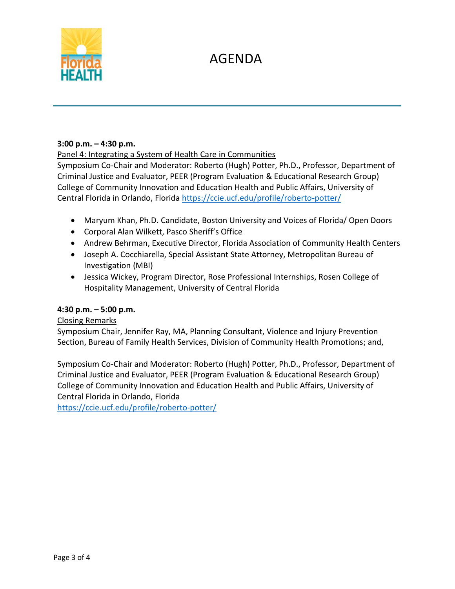



# **3:00 p.m. – 4:30 p.m.**

Panel 4: Integrating a System of Health Care in Communities

Symposium Co-Chair and Moderator: Roberto (Hugh) Potter, Ph.D., Professor, Department of Criminal Justice and Evaluator, PEER (Program Evaluation & Educational Research Group) College of Community Innovation and Education Health and Public Affairs, University of Central Florida in Orlando, Florida <https://ccie.ucf.edu/profile/roberto-potter/>

- Maryum Khan, Ph.D. Candidate, Boston University and Voices of Florida/ Open Doors
- Corporal Alan Wilkett, Pasco Sheriff's Office
- Andrew Behrman, Executive Director, Florida Association of Community Health Centers
- Joseph A. Cocchiarella, Special Assistant State Attorney, Metropolitan Bureau of Investigation (MBI)
- Jessica Wickey, Program Director, Rose Professional Internships, Rosen College of Hospitality Management, University of Central Florida

# **4:30 p.m. – 5:00 p.m.**

## Closing Remarks

Symposium Chair, Jennifer Ray, MA, Planning Consultant, Violence and Injury Prevention Section, Bureau of Family Health Services, Division of Community Health Promotions; and,

Symposium Co-Chair and Moderator: Roberto (Hugh) Potter, Ph.D., Professor, Department of Criminal Justice and Evaluator, PEER (Program Evaluation & Educational Research Group) College of Community Innovation and Education Health and Public Affairs, University of Central Florida in Orlando, Florida

<https://ccie.ucf.edu/profile/roberto-potter/>